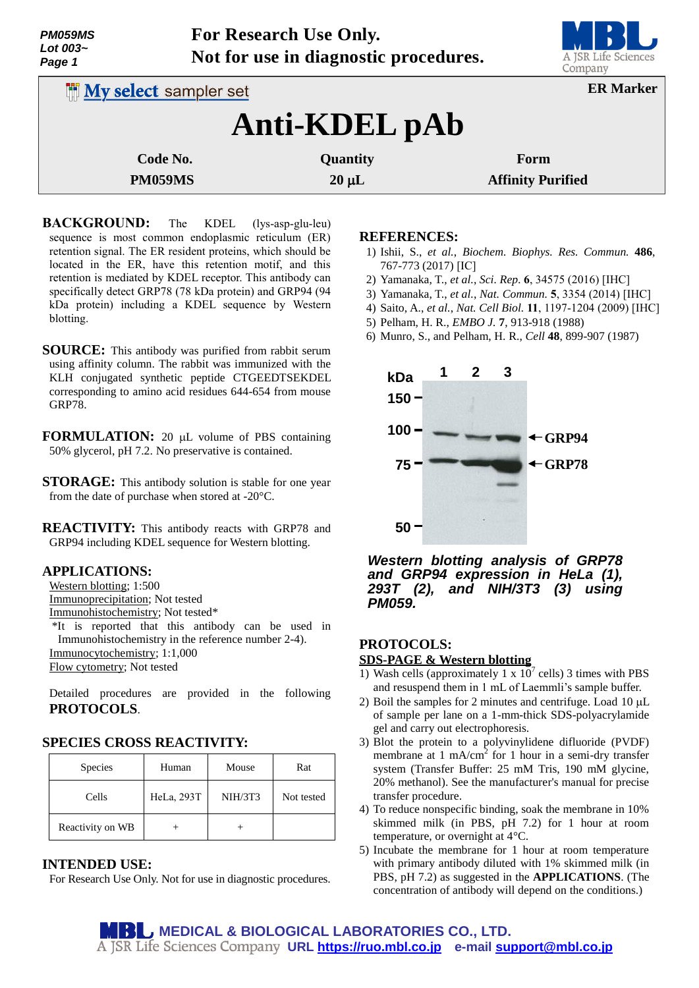| <b>PM059MS</b><br>Lot 003~<br>Page 1 |                               | For Research Use Only.<br>Not for use in diagnostic procedures. | A JSR Life Sciences<br>Company |  |
|--------------------------------------|-------------------------------|-----------------------------------------------------------------|--------------------------------|--|
|                                      | <b>INV select sampler set</b> |                                                                 | <b>ER Marker</b>               |  |
|                                      |                               | Anti-KDEL pAb                                                   |                                |  |
|                                      | Code No.                      | Quantity                                                        | Form                           |  |
| <b>PM059MS</b>                       |                               | $20 \mu L$                                                      | <b>Affinity Purified</b>       |  |

- **BACKGROUND:** The KDEL (lys-asp-glu-leu) sequence is most common endoplasmic reticulum (ER) retention signal. The ER resident proteins, which should be located in the ER, have this retention motif, and this retention is mediated by KDEL receptor. This antibody can specifically detect GRP78 (78 kDa protein) and GRP94 (94 kDa protein) including a KDEL sequence by Western blotting.
- **SOURCE:** This antibody was purified from rabbit serum using affinity column. The rabbit was immunized with the KLH conjugated synthetic peptide CTGEEDTSEKDEL corresponding to amino acid residues 644-654 from mouse GRP78.
- **FORMULATION:** 20 µL volume of PBS containing 50% glycerol, pH 7.2. No preservative is contained.
- **STORAGE:** This antibody solution is stable for one year from the date of purchase when stored at -20°C.
- **REACTIVITY:** This antibody reacts with GRP78 and GRP94 including KDEL sequence for Western blotting.

#### **APPLICATIONS:**

- Western blotting; 1:500
- Immunoprecipitation; Not tested
- Immunohistochemistry; Not tested\*
- \*It is reported that this antibody can be used in Immunohistochemistry in the reference number 2-4). Immunocytochemistry; 1:1,000

Flow cytometry; Not tested

Detailed procedures are provided in the following **PROTOCOLS**.

# **SPECIES CROSS REACTIVITY:**

| <b>Species</b>   | Human      | Mouse   | Rat        |
|------------------|------------|---------|------------|
| Cells            | HeLa, 293T | NIH/3T3 | Not tested |
| Reactivity on WB |            |         |            |

# **INTENDED USE:**

For Research Use Only. Not for use in diagnostic procedures.

#### **REFERENCES:**

- 1) Ishii, S., *et al.*, *Biochem. Biophys. Res. Commun.* **486**, 767-773 (2017) [IC]
- 2) Yamanaka, T., *et al.*, *Sci. Rep.* **6**, 34575 (2016) [IHC]
- 3) Yamanaka, T., *et al.*, *Nat. Commun.* **5**, 3354 (2014) [IHC]
- 4) Saito, A., *et al.*, *Nat. Cell Biol.* **11**, 1197-1204 (2009) [IHC]
- 5) Pelham, H. R., *EMBO J.* **7**, 913-918 (1988)
- 6) Munro, S., and Pelham, H. R., *Cell* **48**, 899-907 (1987)



*Western blotting analysis of GRP78 and GRP94 expression in HeLa (1), 293T (2), and NIH/3T3 (3) using PM059.*

# **PROTOCOLS:**

#### **SDS-PAGE & Western blotting**

- 1) Wash cells (approximately 1 x  $10^7$  cells) 3 times with PBS and resuspend them in 1 mL of Laemmli's sample buffer.
- 2) Boil the samples for 2 minutes and centrifuge. Load  $10 \mu L$ of sample per lane on a 1-mm-thick SDS-polyacrylamide gel and carry out electrophoresis.
- 3) Blot the protein to a polyvinylidene difluoride (PVDF) membrane at  $1 \text{ mA/cm}^2$  for  $1 \text{ hour}$  in a semi-dry transfer system (Transfer Buffer: 25 mM Tris, 190 mM glycine, 20% methanol). See the manufacturer's manual for precise transfer procedure.
- 4) To reduce nonspecific binding, soak the membrane in 10% skimmed milk (in PBS, pH 7.2) for 1 hour at room temperature, or overnight at 4°C.
- 5) Incubate the membrane for 1 hour at room temperature with primary antibody diluted with 1% skimmed milk (in PBS, pH 7.2) as suggested in the **APPLICATIONS**. (The concentration of antibody will depend on the conditions.)